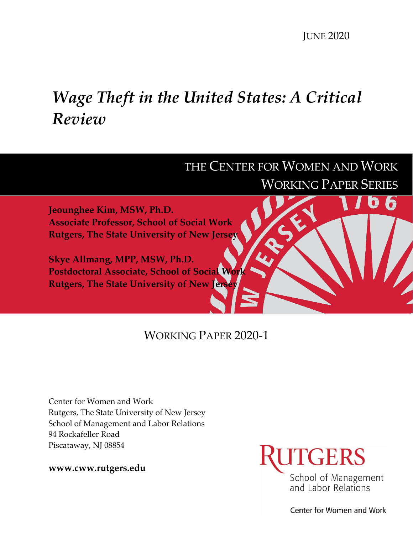JUNE 2020

# *Wage Theft in the United States: A Critical Review*



# WORKING PAPER 2020-1

Center for Women and Work Rutgers, The State University of New Jersey School of Management and Labor Relations 94 Rockafeller Road Piscataway, NJ 08854

**www.cww.rutgers.edu**



Center for Women and Work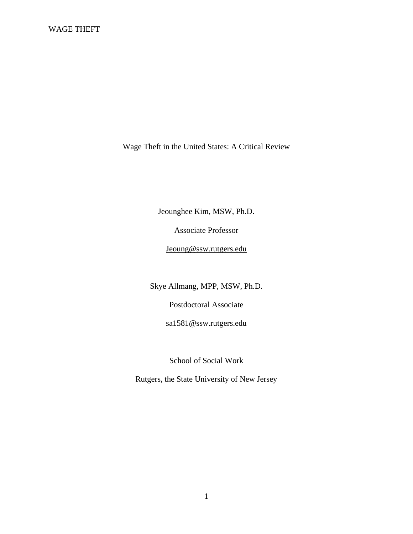Wage Theft in the United States: A Critical Review

Jeounghee Kim, MSW, Ph.D.

Associate Professor

Jeoung@ssw.rutgers.edu

Skye Allmang, MPP, MSW, Ph.D.

Postdoctoral Associate

sa1581@ssw.rutgers.edu

School of Social Work

Rutgers, the State University of New Jersey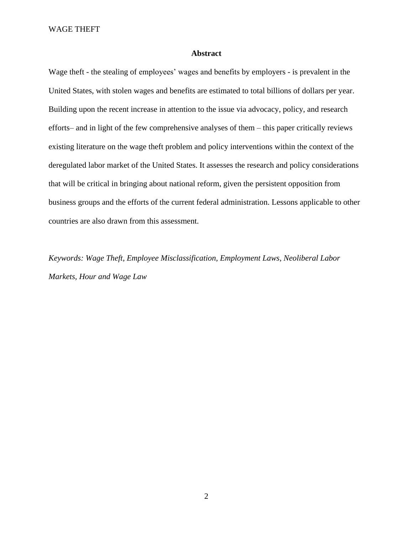# **Abstract**

Wage theft - the stealing of employees' wages and benefits by employers - is prevalent in the United States, with stolen wages and benefits are estimated to total billions of dollars per year. Building upon the recent increase in attention to the issue via advocacy, policy, and research efforts– and in light of the few comprehensive analyses of them – this paper critically reviews existing literature on the wage theft problem and policy interventions within the context of the deregulated labor market of the United States. It assesses the research and policy considerations that will be critical in bringing about national reform, given the persistent opposition from business groups and the efforts of the current federal administration. Lessons applicable to other countries are also drawn from this assessment.

*Keywords: Wage Theft, Employee Misclassification, Employment Laws, Neoliberal Labor Markets, Hour and Wage Law*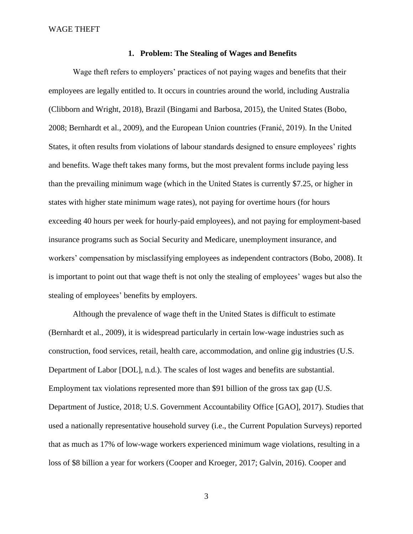# **1. Problem: The Stealing of Wages and Benefits**

Wage theft refers to employers' practices of not paying wages and benefits that their employees are legally entitled to. It occurs in countries around the world, including Australia (Clibborn and Wright, 2018), Brazil (Bingami and Barbosa, 2015), the United States (Bobo, 2008; Bernhardt et al., 2009), and the European Union countries (Franić, 2019). In the United States, it often results from violations of labour standards designed to ensure employees' rights and benefits. Wage theft takes many forms, but the most prevalent forms include paying less than the prevailing minimum wage (which in the United States is currently \$7.25, or higher in states with higher state minimum wage rates), not paying for overtime hours (for hours exceeding 40 hours per week for hourly-paid employees), and not paying for employment-based insurance programs such as Social Security and Medicare, unemployment insurance, and workers' compensation by misclassifying employees as independent contractors (Bobo, 2008). It is important to point out that wage theft is not only the stealing of employees' wages but also the stealing of employees' benefits by employers.

Although the prevalence of wage theft in the United States is difficult to estimate (Bernhardt et al., 2009), it is widespread particularly in certain low-wage industries such as construction, food services, retail, health care, accommodation, and online gig industries (U.S. Department of Labor [DOL], n.d.). The scales of lost wages and benefits are substantial. Employment tax violations represented more than \$91 billion of the gross tax gap (U.S. Department of Justice, 2018; U.S. Government Accountability Office [GAO], 2017). Studies that used a nationally representative household survey (i.e., the Current Population Surveys) reported that as much as 17% of low-wage workers experienced minimum wage violations, resulting in a loss of \$8 billion a year for workers (Cooper and Kroeger, 2017; Galvin, 2016). Cooper and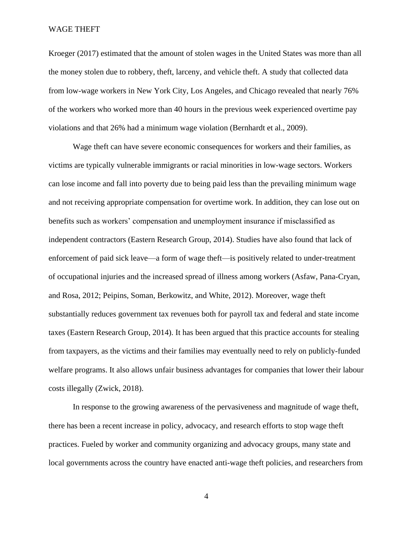Kroeger (2017) estimated that the amount of stolen wages in the United States was more than all the money stolen due to robbery, theft, larceny, and vehicle theft. A study that collected data from low-wage workers in New York City, Los Angeles, and Chicago revealed that nearly 76% of the workers who worked more than 40 hours in the previous week experienced overtime pay violations and that 26% had a minimum wage violation (Bernhardt et al., 2009).

Wage theft can have severe economic consequences for workers and their families, as victims are typically vulnerable immigrants or racial minorities in low-wage sectors. Workers can lose income and fall into poverty due to being paid less than the prevailing minimum wage and not receiving appropriate compensation for overtime work. In addition, they can lose out on benefits such as workers' compensation and unemployment insurance if misclassified as independent contractors (Eastern Research Group, 2014). Studies have also found that lack of enforcement of paid sick leave—a form of wage theft—is positively related to under-treatment of occupational injuries and the increased spread of illness among workers (Asfaw, Pana-Cryan, and Rosa, 2012; Peipins, Soman, Berkowitz, and White, 2012). Moreover, wage theft substantially reduces government tax revenues both for payroll tax and federal and state income taxes (Eastern Research Group, 2014). It has been argued that this practice accounts for stealing from taxpayers, as the victims and their families may eventually need to rely on publicly-funded welfare programs. It also allows unfair business advantages for companies that lower their labour costs illegally (Zwick, 2018).

In response to the growing awareness of the pervasiveness and magnitude of wage theft, there has been a recent increase in policy, advocacy, and research efforts to stop wage theft practices. Fueled by worker and community organizing and advocacy groups, many state and local governments across the country have enacted anti-wage theft policies, and researchers from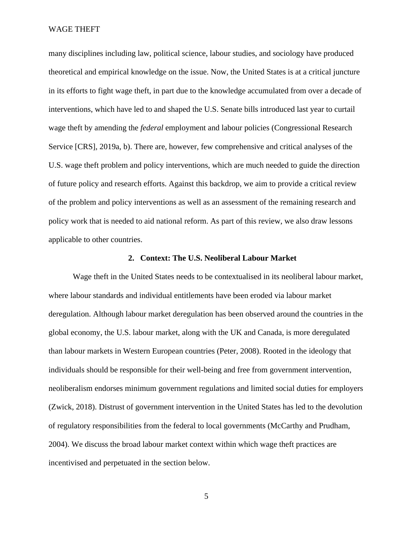many disciplines including law, political science, labour studies, and sociology have produced theoretical and empirical knowledge on the issue. Now, the United States is at a critical juncture in its efforts to fight wage theft, in part due to the knowledge accumulated from over a decade of interventions, which have led to and shaped the U.S. Senate bills introduced last year to curtail wage theft by amending the *federal* employment and labour policies (Congressional Research Service [CRS], 2019a, b). There are, however, few comprehensive and critical analyses of the U.S. wage theft problem and policy interventions, which are much needed to guide the direction of future policy and research efforts. Against this backdrop, we aim to provide a critical review of the problem and policy interventions as well as an assessment of the remaining research and policy work that is needed to aid national reform. As part of this review, we also draw lessons applicable to other countries.

# **2. Context: The U.S. Neoliberal Labour Market**

Wage theft in the United States needs to be contextualised in its neoliberal labour market, where labour standards and individual entitlements have been eroded via labour market deregulation. Although labour market deregulation has been observed around the countries in the global economy, the U.S. labour market, along with the UK and Canada, is more deregulated than labour markets in Western European countries (Peter, 2008). Rooted in the ideology that individuals should be responsible for their well-being and free from government intervention, neoliberalism endorses minimum government regulations and limited social duties for employers (Zwick, 2018). Distrust of government intervention in the United States has led to the devolution of regulatory responsibilities from the federal to local governments (McCarthy and Prudham, 2004). We discuss the broad labour market context within which wage theft practices are incentivised and perpetuated in the section below.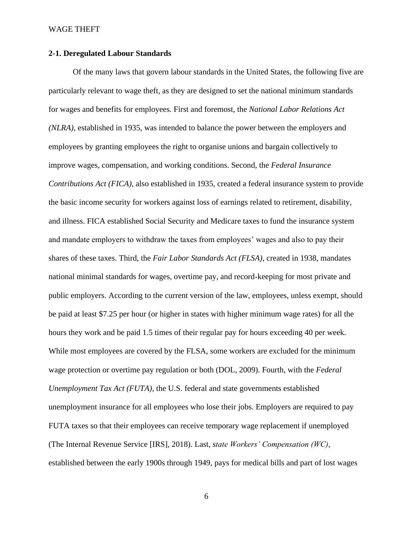# **2-1. Deregulated Labour Standards**

Of the many laws that govern labour standards in the United States, the following five are particularly relevant to wage theft, as they are designed to set the national minimum standards for wages and benefits for employees. First and foremost, the *National Labor Relations Act (NLRA)*, established in 1935, was intended to balance the power between the employers and employees by granting employees the right to organise unions and bargain collectively to improve wages, compensation, and working conditions. Second, the *Federal Insurance Contributions Act (FICA),* also established in 1935, created a federal insurance system to provide the basic income security for workers against loss of earnings related to retirement, disability, and illness. FICA established Social Security and Medicare taxes to fund the insurance system and mandate employers to withdraw the taxes from employees' wages and also to pay their shares of these taxes. Third, the *Fair Labor Standards Act (FLSA),* created in 1938, mandates national minimal standards for wages, overtime pay, and record-keeping for most private and public employers. According to the current version of the law, employees, unless exempt, should be paid at least \$7.25 per hour (or higher in states with higher minimum wage rates) for all the hours they work and be paid 1.5 times of their regular pay for hours exceeding 40 per week. While most employees are covered by the FLSA, some workers are excluded for the minimum wage protection or overtime pay regulation or both (DOL, 2009). Fourth, with the *Federal Unemployment Tax Act (FUTA)*, the U.S. federal and state governments established unemployment insurance for all employees who lose their jobs. Employers are required to pay FUTA taxes so that their employees can receive temporary wage replacement if unemployed (The Internal Revenue Service [IRS], 2018). Last, *state Workers' Compensation (WC)*, established between the early 1900s through 1949, pays for medical bills and part of lost wages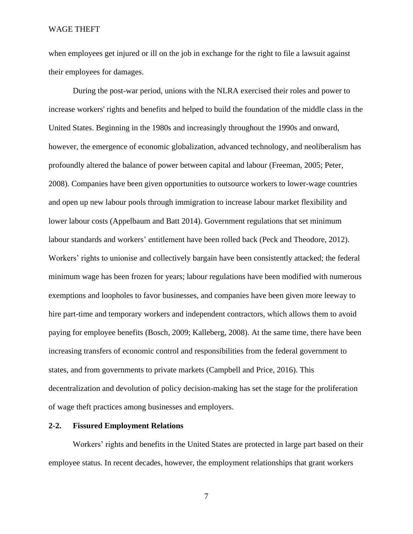when employees get injured or ill on the job in exchange for the right to file a lawsuit against their employees for damages.

During the post-war period, unions with the NLRA exercised their roles and power to increase workers' rights and benefits and helped to build the foundation of the middle class in the United States. Beginning in the 1980s and increasingly throughout the 1990s and onward, however, the emergence of economic globalization, advanced technology, and neoliberalism has profoundly altered the balance of power between capital and labour (Freeman, 2005; Peter, 2008). Companies have been given opportunities to outsource workers to lower-wage countries and open up new labour pools through immigration to increase labour market flexibility and lower labour costs (Appelbaum and Batt 2014). Government regulations that set minimum labour standards and workers' entitlement have been rolled back (Peck and Theodore, 2012). Workers' rights to unionise and collectively bargain have been consistently attacked; the federal minimum wage has been frozen for years; labour regulations have been modified with numerous exemptions and loopholes to favor businesses, and companies have been given more leeway to hire part-time and temporary workers and independent contractors, which allows them to avoid paying for employee benefits (Bosch, 2009; Kalleberg, 2008). At the same time, there have been increasing transfers of economic control and responsibilities from the federal government to states, and from governments to private markets (Campbell and Price, 2016). This decentralization and devolution of policy decision-making has set the stage for the proliferation of wage theft practices among businesses and employers.

# **2-2. Fissured Employment Relations**

Workers' rights and benefits in the United States are protected in large part based on their employee status. In recent decades, however, the employment relationships that grant workers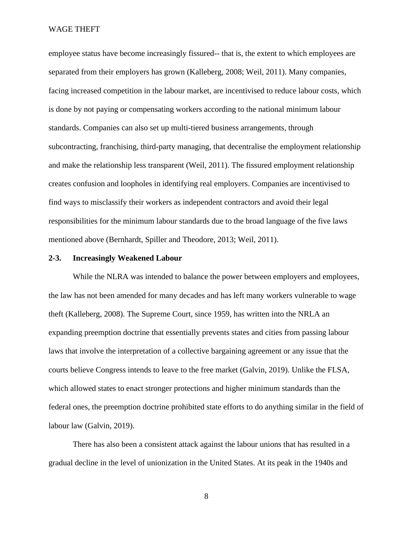employee status have become increasingly fissured-- that is, the extent to which employees are separated from their employers has grown (Kalleberg, 2008; Weil, 2011). Many companies, facing increased competition in the labour market, are incentivised to reduce labour costs, which is done by not paying or compensating workers according to the national minimum labour standards. Companies can also set up multi-tiered business arrangements, through subcontracting, franchising, third-party managing, that decentralise the employment relationship and make the relationship less transparent (Weil, 2011). The fissured employment relationship creates confusion and loopholes in identifying real employers. Companies are incentivised to find ways to misclassify their workers as independent contractors and avoid their legal responsibilities for the minimum labour standards due to the broad language of the five laws mentioned above (Bernhardt, Spiller and Theodore, 2013; Weil, 2011).

# **2-3. Increasingly Weakened Labour**

While the NLRA was intended to balance the power between employers and employees, the law has not been amended for many decades and has left many workers vulnerable to wage theft (Kalleberg, 2008). The Supreme Court, since 1959, has written into the NRLA an expanding preemption doctrine that essentially prevents states and cities from passing labour laws that involve the interpretation of a collective bargaining agreement or any issue that the courts believe Congress intends to leave to the free market (Galvin, 2019). Unlike the FLSA, which allowed states to enact stronger protections and higher minimum standards than the federal ones, the preemption doctrine prohibited state efforts to do anything similar in the field of labour law (Galvin, 2019).

There has also been a consistent attack against the labour unions that has resulted in a gradual decline in the level of unionization in the United States. At its peak in the 1940s and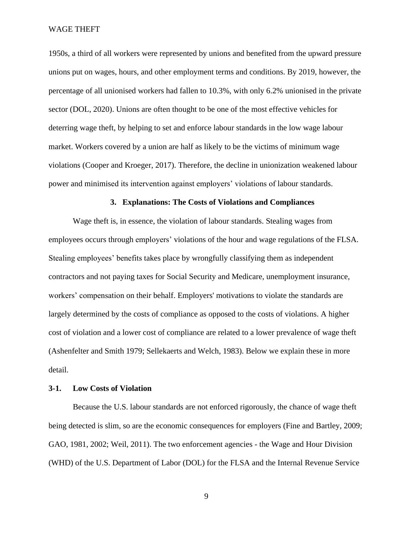1950s, a third of all workers were represented by unions and benefited from the upward pressure unions put on wages, hours, and other employment terms and conditions. By 2019, however, the percentage of all unionised workers had fallen to 10.3%, with only 6.2% unionised in the private sector (DOL, 2020). Unions are often thought to be one of the most effective vehicles for deterring wage theft, by helping to set and enforce labour standards in the low wage labour market. Workers covered by a union are half as likely to be the victims of minimum wage violations (Cooper and Kroeger, 2017). Therefore, the decline in unionization weakened labour power and minimised its intervention against employers' violations of labour standards.

# **3. Explanations: The Costs of Violations and Compliances**

Wage theft is, in essence, the violation of labour standards. Stealing wages from employees occurs through employers' violations of the hour and wage regulations of the FLSA. Stealing employees' benefits takes place by wrongfully classifying them as independent contractors and not paying taxes for Social Security and Medicare, unemployment insurance, workers' compensation on their behalf. Employers' motivations to violate the standards are largely determined by the costs of compliance as opposed to the costs of violations. A higher cost of violation and a lower cost of compliance are related to a lower prevalence of wage theft (Ashenfelter and Smith 1979; Sellekaerts and Welch, 1983). Below we explain these in more detail.

# **3-1. Low Costs of Violation**

Because the U.S. labour standards are not enforced rigorously, the chance of wage theft being detected is slim, so are the economic consequences for employers (Fine and Bartley, 2009; GAO, 1981, 2002; Weil, 2011). The two enforcement agencies - the Wage and Hour Division (WHD) of the U.S. Department of Labor (DOL) for the FLSA and the Internal Revenue Service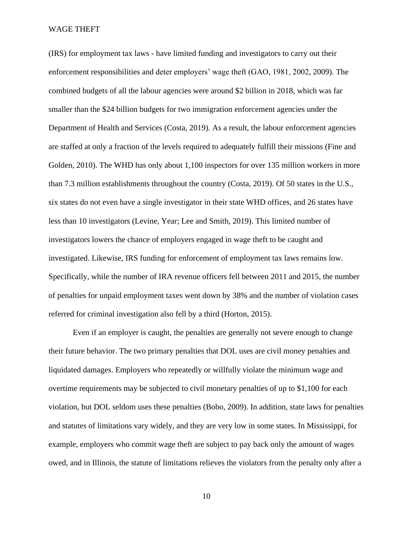(IRS) for employment tax laws - have limited funding and investigators to carry out their enforcement responsibilities and deter employers' wage theft (GAO, 1981, 2002, 2009). The combined budgets of all the labour agencies were around \$2 billion in 2018, which was far smaller than the \$24 billion budgets for two immigration enforcement agencies under the Department of Health and Services (Costa, 2019). As a result, the labour enforcement agencies are staffed at only a fraction of the levels required to adequately fulfill their missions (Fine and Golden, 2010). The WHD has only about 1,100 inspectors for over 135 million workers in more than 7.3 million establishments throughout the country (Costa, 2019). Of 50 states in the U.S., six states do not even have a single investigator in their state WHD offices, and 26 states have less than 10 investigators (Levine, Year; Lee and Smith, 2019). This limited number of investigators lowers the chance of employers engaged in wage theft to be caught and investigated. Likewise, IRS funding for enforcement of employment tax laws remains low. Specifically, while the number of IRA revenue officers fell between 2011 and 2015, the number of penalties for unpaid employment taxes went down by 38% and the number of violation cases referred for criminal investigation also fell by a third (Horton, 2015).

Even if an employer is caught, the penalties are generally not severe enough to change their future behavior. The two primary penalties that DOL uses are civil money penalties and liquidated damages. Employers who repeatedly or willfully violate the minimum wage and overtime requirements may be subjected to civil monetary penalties of up to \$1,100 for each violation, but DOL seldom uses these penalties (Bobo, 2009). In addition, state laws for penalties and statutes of limitations vary widely, and they are very low in some states. In Mississippi, for example, employers who commit wage theft are subject to pay back only the amount of wages owed, and in Illinois, the statute of limitations relieves the violators from the penalty only after a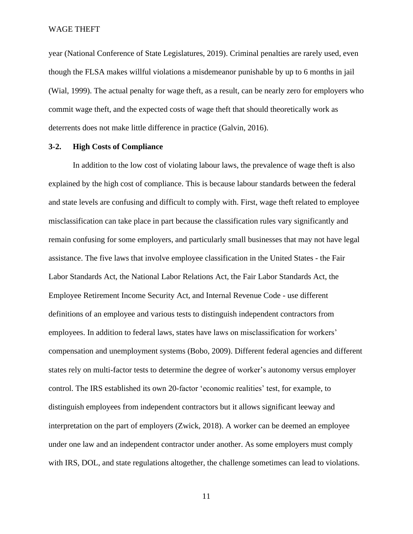year (National Conference of State Legislatures, 2019). Criminal penalties are rarely used, even though the FLSA makes willful violations a misdemeanor punishable by up to 6 months in jail (Wial, 1999). The actual penalty for wage theft, as a result, can be nearly zero for employers who commit wage theft, and the expected costs of wage theft that should theoretically work as deterrents does not make little difference in practice (Galvin, 2016).

# **3-2. High Costs of Compliance**

In addition to the low cost of violating labour laws, the prevalence of wage theft is also explained by the high cost of compliance. This is because labour standards between the federal and state levels are confusing and difficult to comply with. First, wage theft related to employee misclassification can take place in part because the classification rules vary significantly and remain confusing for some employers, and particularly small businesses that may not have legal assistance. The five laws that involve employee classification in the United States - the Fair Labor Standards Act, the National Labor Relations Act, the Fair Labor Standards Act, the Employee Retirement Income Security Act, and Internal Revenue Code - use different definitions of an employee and various tests to distinguish independent contractors from employees. In addition to federal laws, states have laws on misclassification for workers' compensation and unemployment systems (Bobo, 2009). Different federal agencies and different states rely on multi-factor tests to determine the degree of worker's autonomy versus employer control. The IRS established its own 20-factor 'economic realities' test, for example, to distinguish employees from independent contractors but it allows significant leeway and interpretation on the part of employers (Zwick, 2018). A worker can be deemed an employee under one law and an independent contractor under another. As some employers must comply with IRS, DOL, and state regulations altogether, the challenge sometimes can lead to violations.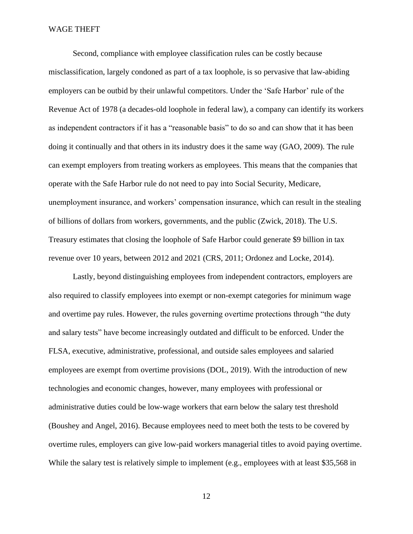Second, compliance with employee classification rules can be costly because misclassification, largely condoned as part of a tax loophole, is so pervasive that law-abiding employers can be outbid by their unlawful competitors. Under the 'Safe Harbor' rule of the Revenue Act of 1978 (a decades-old loophole in federal law), a company can identify its workers as independent contractors if it has a "reasonable basis" to do so and can show that it has been doing it continually and that others in its industry does it the same way (GAO, 2009). The rule can exempt employers from treating workers as employees. This means that the companies that operate with the Safe Harbor rule do not need to pay into Social Security, Medicare, unemployment insurance, and workers' compensation insurance, which can result in the stealing of billions of dollars from workers, governments, and the public (Zwick, 2018). The U.S. Treasury estimates that closing the loophole of Safe Harbor could generate \$9 billion in tax revenue over 10 years, between 2012 and 2021 (CRS, 2011; Ordonez and Locke, 2014).

Lastly, beyond distinguishing employees from independent contractors, employers are also required to classify employees into exempt or non-exempt categories for minimum wage and overtime pay rules. However, the rules governing overtime protections through "the duty and salary tests" have become increasingly outdated and difficult to be enforced. Under the FLSA, [executive, administrative, professional, and outside sales employees](https://webapps.dol.gov/elaws/overtime.htm) and salaried employees are exempt from overtime provisions (DOL, 2019). With the introduction of new technologies and economic changes, however, many employees with professional or administrative duties could be low-wage workers that earn below the salary test threshold (Boushey and Angel, 2016). Because employees need to meet both the tests to be covered by overtime rules, employers can give low-paid workers managerial titles to avoid paying overtime. While the salary test is relatively simple to implement (e.g., employees with at least \$35,568 in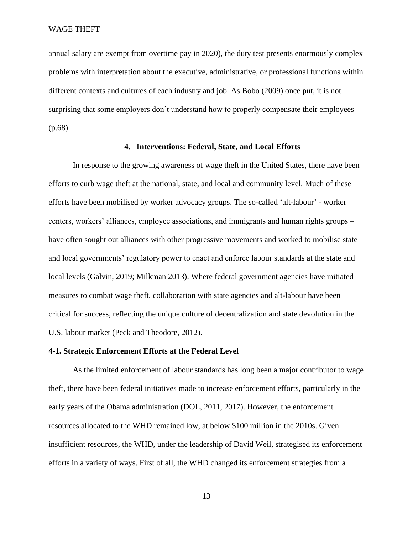annual salary are exempt from overtime pay in 2020), the duty test presents enormously complex problems with interpretation about the executive, administrative, or professional functions within different contexts and cultures of each industry and job. As Bobo (2009) once put, it is not surprising that some employers don't understand how to properly compensate their employees (p.68).

# **4. Interventions: Federal, State, and Local Efforts**

In response to the growing awareness of wage theft in the United States, there have been efforts to curb wage theft at the national, state, and local and community level. Much of these efforts have been mobilised by worker advocacy groups. The so-called 'alt-labour' - worker centers, workers' alliances, employee associations, and immigrants and human rights groups – have often sought out alliances with other progressive movements and worked to mobilise state and local governments' regulatory power to enact and enforce labour standards at the state and local levels (Galvin, 2019; Milkman 2013). Where federal government agencies have initiated measures to combat wage theft, collaboration with state agencies and alt-labour have been critical for success, reflecting the unique culture of decentralization and state devolution in the U.S. labour market (Peck and Theodore, 2012).

# **4-1. Strategic Enforcement Efforts at the Federal Level**

As the limited enforcement of labour standards has long been a major contributor to wage theft, there have been federal initiatives made to increase enforcement efforts, particularly in the early years of the Obama administration (DOL, 2011, 2017). However, the enforcement resources allocated to the WHD remained low, at below \$100 million in the 2010s. Given insufficient resources, the WHD, under the leadership of David Weil, strategised its enforcement efforts in a variety of ways. First of all, the WHD changed its enforcement strategies from a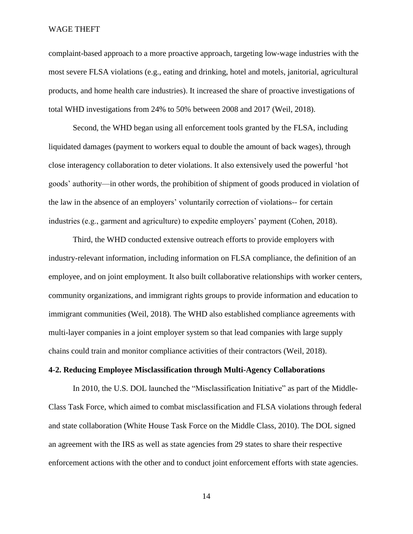complaint-based approach to a more proactive approach, targeting low-wage industries with the most severe FLSA violations (e.g., eating and drinking, hotel and motels, janitorial, agricultural products, and home health care industries). It increased the share of proactive investigations of total WHD investigations from 24% to 50% between 2008 and 2017 (Weil, 2018).

Second, the WHD began using all enforcement tools granted by the FLSA, including liquidated damages (payment to workers equal to double the amount of back wages), through close interagency collaboration to deter violations. It also extensively used the powerful 'hot goods' authority—in other words, the prohibition of shipment of goods produced in violation of the law in the absence of an employers' voluntarily correction of violations-- for certain industries (e.g., garment and agriculture) to expedite employers' payment (Cohen, 2018).

Third, the WHD conducted extensive outreach efforts to provide employers with industry-relevant information, including information on FLSA compliance, the definition of an employee, and on joint employment. It also built collaborative relationships with worker centers, community organizations, and immigrant rights groups to provide information and education to immigrant communities (Weil, 2018). The WHD also established compliance agreements with multi-layer companies in a joint employer system so that lead companies with large supply chains could train and monitor compliance activities of their contractors (Weil, 2018).

# **4-2. Reducing Employee Misclassification through Multi-Agency Collaborations**

In 2010, the U.S. DOL launched the "Misclassification Initiative" as part of the Middle-Class Task Force, which aimed to combat misclassification and FLSA violations through federal and state collaboration (White House Task Force on the Middle Class, 2010). The DOL signed an agreement with the IRS as well as state agencies from 29 states to share their respective enforcement actions with the other and to conduct joint enforcement efforts with state agencies.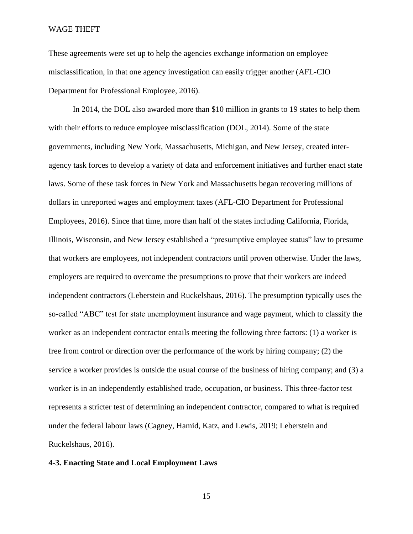These agreements were set up to help the agencies exchange information on employee misclassification, in that one agency investigation can easily trigger another (AFL-CIO Department for Professional Employee, 2016).

In 2014, the DOL also awarded more than \$10 million in grants to 19 states to help them with their efforts to reduce employee misclassification (DOL, 2014). Some of the state governments, including New York, Massachusetts, Michigan, and New Jersey, created interagency task forces to develop a variety of data and enforcement initiatives and further enact state laws. Some of these task forces in New York and Massachusetts began recovering millions of dollars in unreported wages and employment taxes (AFL-CIO Department for Professional Employees, 2016). Since that time, more than half of the states including California, Florida, Illinois, Wisconsin, and New Jersey established a "presumptive employee status" law to presume that workers are employees, not independent contractors until proven otherwise. Under the laws, employers are required to overcome the presumptions to prove that their workers are indeed independent contractors (Leberstein and Ruckelshaus, 2016). The presumption typically uses the so-called "ABC" test for state unemployment insurance and wage payment, which to classify the worker as an independent contractor entails meeting the following three factors: (1) a worker is free from control or direction over the performance of the work by hiring company; (2) the service a worker provides is outside the usual course of the business of hiring company; and (3) a worker is in an independently established trade, occupation, or business. This three-factor test represents a stricter test of determining an independent contractor, compared to what is required under the federal labour laws (Cagney, Hamid, Katz, and Lewis, 2019; Leberstein and Ruckelshaus, 2016).

# **4-3. Enacting State and Local Employment Laws**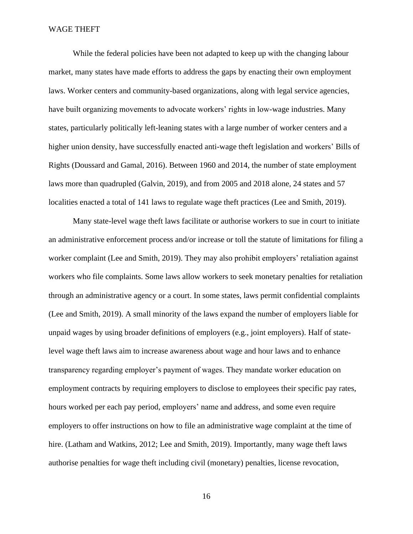While the federal policies have been not adapted to keep up with the changing labour market, many states have made efforts to address the gaps by enacting their own employment laws. Worker centers and community-based organizations, along with legal service agencies, have built organizing movements to advocate workers' rights in low-wage industries. Many states, particularly politically left-leaning states with a large number of worker centers and a higher union density, have successfully enacted anti-wage theft legislation and workers' Bills of Rights (Doussard and Gamal, 2016). Between 1960 and 2014, the number of state employment laws more than quadrupled (Galvin, 2019), and from 2005 and 2018 alone, 24 states and 57 localities enacted a total of 141 laws to regulate wage theft practices (Lee and Smith, 2019).

Many state-level wage theft laws facilitate or authorise workers to sue in court to initiate an administrative enforcement process and/or increase or toll the statute of limitations for filing a worker complaint (Lee and Smith, 2019). They may also prohibit employers' retaliation against workers who file complaints. Some laws allow workers to seek monetary penalties for retaliation through an administrative agency or a court. In some states, laws permit confidential complaints (Lee and Smith, 2019). A small minority of the laws expand the number of employers liable for unpaid wages by using broader definitions of employers (e.g., joint employers). Half of statelevel wage theft laws aim to increase awareness about wage and hour laws and to enhance transparency regarding employer's payment of wages. They mandate worker education on employment contracts by requiring employers to disclose to employees their specific pay rates, hours worked per each pay period, employers' name and address, and some even require employers to offer instructions on how to file an administrative wage complaint at the time of hire. (Latham and Watkins, 2012; Lee and Smith, 2019). Importantly, many wage theft laws authorise penalties for wage theft including civil (monetary) penalties, license revocation,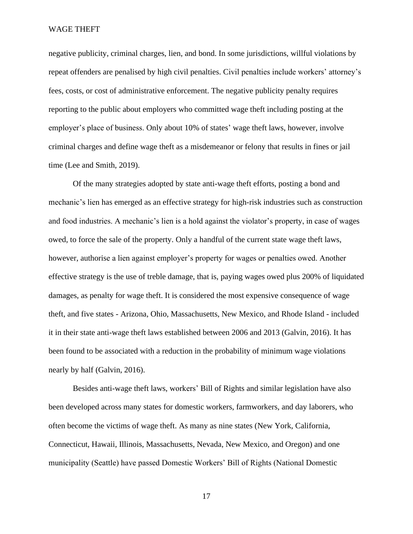negative publicity, criminal charges, lien, and bond. In some jurisdictions, willful violations by repeat offenders are penalised by high civil penalties. Civil penalties include workers' attorney's fees, costs, or cost of administrative enforcement. The negative publicity penalty requires reporting to the public about employers who committed wage theft including posting at the employer's place of business. Only about 10% of states' wage theft laws, however, involve criminal charges and define wage theft as a misdemeanor or felony that results in fines or jail time (Lee and Smith, 2019).

Of the many strategies adopted by state anti-wage theft efforts, posting a bond and mechanic's lien has emerged as an effective strategy for high-risk industries such as construction and food industries. A mechanic's lien is a hold against the violator's property, in case of wages owed, to force the sale of the property. Only a handful of the current state wage theft laws, however, authorise a lien against employer's property for wages or penalties owed. Another effective strategy is the use of treble damage, that is, paying wages owed plus 200% of liquidated damages, as penalty for wage theft. It is considered the most expensive consequence of wage theft, and five states - Arizona, Ohio, Massachusetts, New Mexico, and Rhode Island - included it in their state anti-wage theft laws established between 2006 and 2013 (Galvin, 2016). It has been found to be associated with a reduction in the probability of minimum wage violations nearly by half (Galvin, 2016).

Besides anti-wage theft laws, workers' Bill of Rights and similar legislation have also been developed across many states for domestic workers, farmworkers, and day laborers, who often become the victims of wage theft. As many as nine states (New York, California, Connecticut, Hawaii, Illinois, Massachusetts, Nevada, New Mexico, and Oregon) and one municipality (Seattle) have passed Domestic Workers' Bill of Rights (National Domestic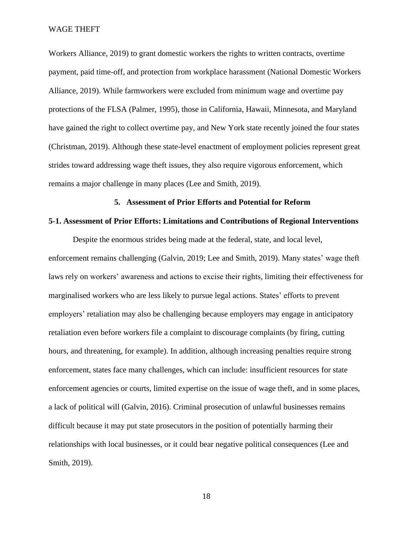Workers Alliance, 2019) to grant domestic workers the rights to written contracts, overtime payment, paid time-off, and protection from workplace harassment (National Domestic Workers Alliance, 2019). While farmworkers were excluded from minimum wage and overtime pay protections of the FLSA (Palmer, 1995), those in California, Hawaii, Minnesota, and Maryland have gained the right to collect overtime pay, and New York state recently joined the four states (Christman, 2019). Although these state-level enactment of employment policies represent great strides toward addressing wage theft issues, they also require vigorous enforcement, which remains a major challenge in many places (Lee and Smith, 2019).

# **5. Assessment of Prior Efforts and Potential for Reform**

# **5-1. Assessment of Prior Efforts: Limitations and Contributions of Regional Interventions**

Despite the enormous strides being made at the federal, state, and local level, enforcement remains challenging (Galvin, 2019; Lee and Smith, 2019). Many states' wage theft laws rely on workers' awareness and actions to excise their rights, limiting their effectiveness for marginalised workers who are less likely to pursue legal actions. States' efforts to prevent employers' retaliation may also be challenging because employers may engage in anticipatory retaliation even before workers file a complaint to discourage complaints (by firing, cutting hours, and threatening, for example). In addition, although increasing penalties require strong enforcement, states face many challenges, which can include: insufficient resources for state enforcement agencies or courts, limited expertise on the issue of wage theft, and in some places, a lack of political will (Galvin, 2016). Criminal prosecution of unlawful businesses remains difficult because it may put state prosecutors in the position of potentially harming their relationships with local businesses, or it could bear negative political consequences (Lee and Smith, 2019).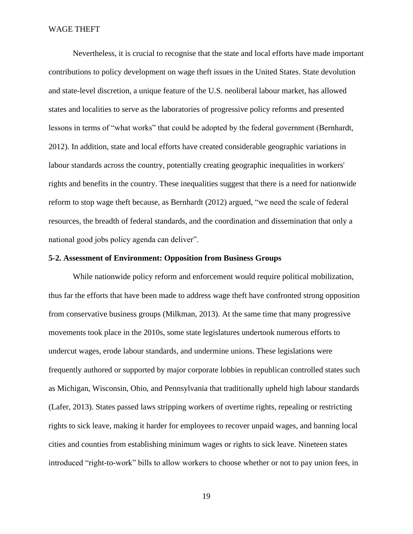Nevertheless, it is crucial to recognise that the state and local efforts have made important contributions to policy development on wage theft issues in the United States. State devolution and state-level discretion, a unique feature of the U.S. neoliberal labour market, has allowed states and localities to serve as the laboratories of progressive policy reforms and presented lessons in terms of "what works" that could be adopted by the federal government (Bernhardt, 2012). In addition, state and local efforts have created considerable geographic variations in labour standards across the country, potentially creating geographic inequalities in workers' rights and benefits in the country. These inequalities suggest that there is a need for nationwide reform to stop wage theft because, as Bernhardt (2012) argued, "we need the scale of federal resources, the breadth of federal standards, and the coordination and dissemination that only a national good jobs policy agenda can deliver".

# **5-2. Assessment of Environment: Opposition from Business Groups**

While nationwide policy reform and enforcement would require political mobilization, thus far the efforts that have been made to address wage theft have confronted strong opposition from conservative business groups (Milkman, 2013). At the same time that many progressive movements took place in the 2010s, some state legislatures undertook numerous efforts to undercut wages, erode labour standards, and undermine unions. These legislations were frequently authored or supported by major corporate lobbies in republican controlled states such as Michigan, Wisconsin, Ohio, and Pennsylvania that traditionally upheld high labour standards (Lafer, 2013). States passed laws stripping workers of overtime rights, repealing or restricting rights to sick leave, making it harder for employees to recover unpaid wages, and banning local cities and counties from establishing minimum wages or rights to sick leave. Nineteen states introduced "right-to-work" bills to allow workers to choose whether or not to pay union fees, in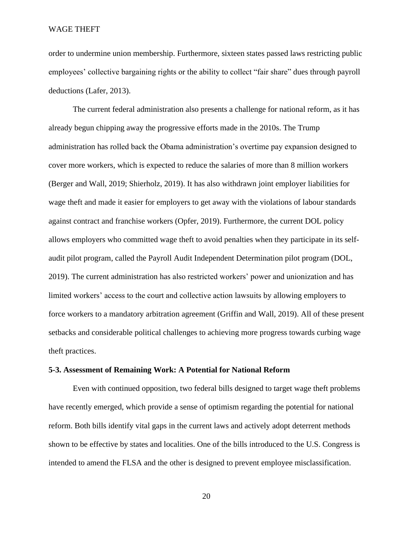order to undermine union membership. Furthermore, sixteen states passed laws restricting public employees' collective bargaining rights or the ability to collect "fair share" dues through payroll deductions (Lafer, 2013).

The current federal administration also presents a challenge for national reform, as it has already begun chipping away the progressive efforts made in the 2010s. The Trump administration has rolled back the Obama administration's overtime pay expansion designed to cover more workers, which is expected to reduce the salaries of more than 8 million workers (Berger and Wall, 2019; Shierholz, 2019). It has also withdrawn joint employer liabilities for wage theft and made it easier for employers to get away with the violations of labour standards against contract and franchise workers (Opfer, 2019). Furthermore, the current DOL policy allows employers who committed wage theft to avoid penalties when they participate in its selfaudit pilot program, called the Payroll Audit Independent Determination pilot program (DOL, 2019). The current administration has also restricted workers' power and unionization and has limited workers' access to the court and collective action lawsuits by allowing employers to force workers to a mandatory arbitration agreement (Griffin and Wall, 2019). All of these present setbacks and considerable political challenges to achieving more progress towards curbing wage theft practices.

# **5-3. Assessment of Remaining Work: A Potential for National Reform**

Even with continued opposition, two federal bills designed to target wage theft problems have recently emerged, which provide a sense of optimism regarding the potential for national reform. Both bills identify vital gaps in the current laws and actively adopt deterrent methods shown to be effective by states and localities. One of the bills introduced to the U.S. Congress is intended to amend the FLSA and the other is designed to prevent employee misclassification.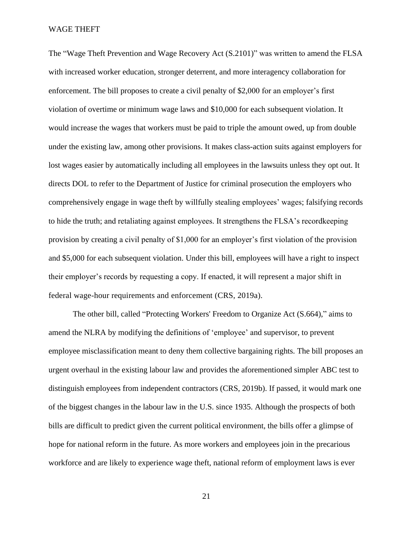The "Wage Theft Prevention and Wage Recovery Act (S.2101)" was written to amend the FLSA with increased worker education, stronger deterrent, and more interagency collaboration for enforcement. The bill proposes to create a civil penalty of \$2,000 for an employer's first violation of overtime or minimum wage laws and \$10,000 for each subsequent violation. It would increase the wages that workers must be paid to triple the amount owed, up from double under the existing law, among other provisions. It makes class-action suits against employers for lost wages easier by automatically including all employees in the lawsuits unless they opt out. It directs DOL to refer to the Department of Justice for criminal prosecution the employers who comprehensively engage in wage theft by willfully stealing employees' wages; falsifying records to hide the truth; and retaliating against employees. It strengthens the FLSA's recordkeeping provision by creating a civil penalty of \$1,000 for an employer's first violation of the provision and \$5,000 for each subsequent violation. Under this bill, employees will have a right to inspect their employer's records by requesting a copy. If enacted, it will represent a major shift in federal wage-hour requirements and enforcement (CRS, 2019a).

The other bill, called "Protecting Workers' Freedom to Organize Act (S.664)," aims to amend the NLRA by modifying the definitions of 'employee' and supervisor, to prevent employee misclassification meant to deny them collective bargaining rights. The bill proposes an urgent overhaul in the existing labour law and provides the aforementioned simpler ABC test to distinguish employees from independent contractors (CRS, 2019b). If passed, it would mark one of the biggest changes in the labour law in the U.S. since 1935. Although the prospects of both bills are difficult to predict given the current political environment, the bills offer a glimpse of hope for national reform in the future. As more workers and employees join in the precarious workforce and are likely to experience wage theft, national reform of employment laws is ever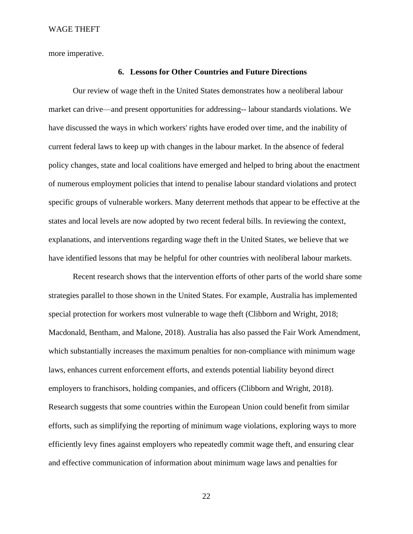more imperative.

# **6. Lessons for Other Countries and Future Directions**

Our review of wage theft in the United States demonstrates how a neoliberal labour market can drive—and present opportunities for addressing-- labour standards violations. We have discussed the ways in which workers' rights have eroded over time, and the inability of current federal laws to keep up with changes in the labour market. In the absence of federal policy changes, state and local coalitions have emerged and helped to bring about the enactment of numerous employment policies that intend to penalise labour standard violations and protect specific groups of vulnerable workers. Many deterrent methods that appear to be effective at the states and local levels are now adopted by two recent federal bills. In reviewing the context, explanations, and interventions regarding wage theft in the United States, we believe that we have identified lessons that may be helpful for other countries with neoliberal labour markets.

Recent research shows that the intervention efforts of other parts of the world share some strategies parallel to those shown in the United States. For example, Australia has implemented special protection for workers most vulnerable to wage theft (Clibborn and Wright, 2018; Macdonald, Bentham, and Malone, 2018). Australia has also passed the Fair Work Amendment, which substantially increases the maximum penalties for non-compliance with minimum wage laws, enhances current enforcement efforts, and extends potential liability beyond direct employers to franchisors, holding companies, and officers (Clibborn and Wright, 2018). Research suggests that some countries within the European Union could benefit from similar efforts, such as simplifying the reporting of minimum wage violations, exploring ways to more efficiently levy fines against employers who repeatedly commit wage theft, and ensuring clear and effective communication of information about minimum wage laws and penalties for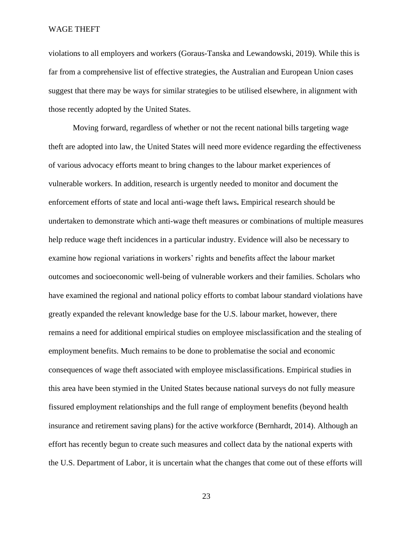violations to all employers and workers (Goraus-Tanska and Lewandowski, 2019). While this is far from a comprehensive list of effective strategies, the Australian and European Union cases suggest that there may be ways for similar strategies to be utilised elsewhere, in alignment with those recently adopted by the United States.

Moving forward, regardless of whether or not the recent national bills targeting wage theft are adopted into law, the United States will need more evidence regarding the effectiveness of various advocacy efforts meant to bring changes to the labour market experiences of vulnerable workers. In addition, research is urgently needed to monitor and document the enforcement efforts of state and local anti-wage theft laws**.** Empirical research should be undertaken to demonstrate which anti-wage theft measures or combinations of multiple measures help reduce wage theft incidences in a particular industry. Evidence will also be necessary to examine how regional variations in workers' rights and benefits affect the labour market outcomes and socioeconomic well-being of vulnerable workers and their families. Scholars who have examined the regional and national policy efforts to combat labour standard violations have greatly expanded the relevant knowledge base for the U.S. labour market, however, there remains a need for additional empirical studies on employee misclassification and the stealing of employment benefits. Much remains to be done to problematise the social and economic consequences of wage theft associated with employee misclassifications. Empirical studies in this area have been stymied in the United States because national surveys do not fully measure fissured employment relationships and the full range of employment benefits (beyond health insurance and retirement saving plans) for the active workforce (Bernhardt, 2014). Although an effort has recently begun to create such measures and collect data by the national experts with the U.S. Department of Labor, it is uncertain what the changes that come out of these efforts will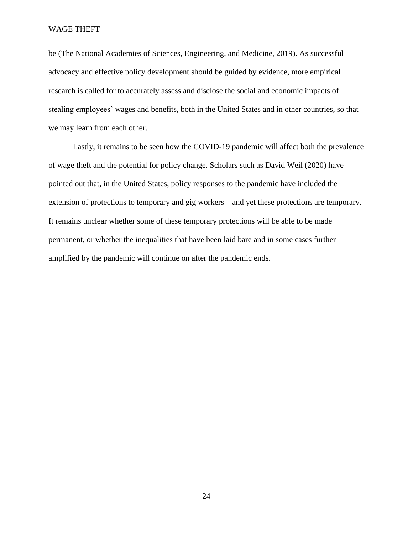be (The National Academies of Sciences, Engineering, and Medicine, 2019). As successful advocacy and effective policy development should be guided by evidence, more empirical research is called for to accurately assess and disclose the social and economic impacts of stealing employees' wages and benefits, both in the United States and in other countries, so that we may learn from each other.

Lastly, it remains to be seen how the COVID-19 pandemic will affect both the prevalence of wage theft and the potential for policy change. Scholars such as David Weil (2020) have pointed out that, in the United States, policy responses to the pandemic have included the extension of protections to temporary and gig workers—and yet these protections are temporary. It remains unclear whether some of these temporary protections will be able to be made permanent, or whether the inequalities that have been laid bare and in some cases further amplified by the pandemic will continue on after the pandemic ends.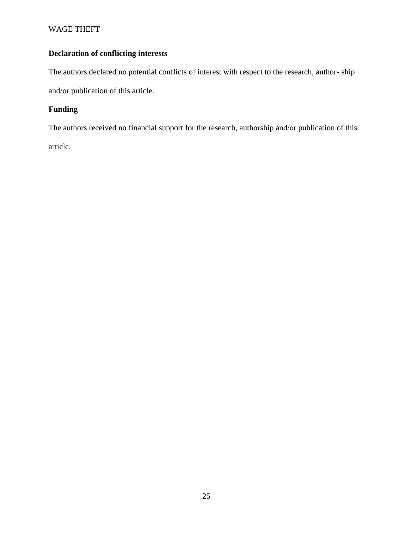# **Declaration of conflicting interests**

The authors declared no potential conflicts of interest with respect to the research, author- ship and/or publication of this article.

# **Funding**

The authors received no financial support for the research, authorship and/or publication of this article.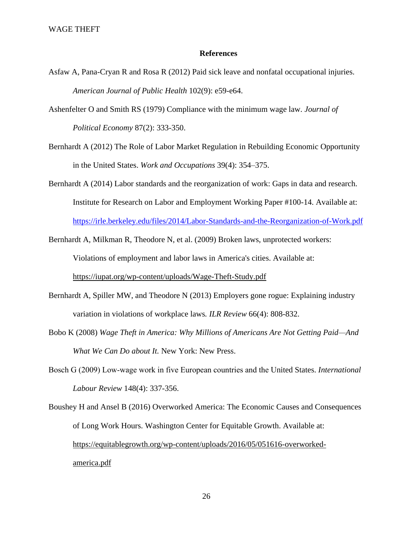# **References**

- Asfaw A, Pana-Cryan R and Rosa R (2012) Paid sick leave and nonfatal occupational injuries. *American Journal of Public Health* 102(9): e59-e64.
- Ashenfelter O and Smith RS (1979) Compliance with the minimum wage law*. Journal of Political Economy* 87(2): 333-350.
- Bernhardt A (2012) The Role of Labor Market Regulation in Rebuilding Economic Opportunity in the United States. *Work and Occupations* 39(4): 354–375.
- Bernhardt A (2014) Labor standards and the reorganization of work: Gaps in data and research. Institute for Research on Labor and Employment Working Paper #100-14. Available at:

<https://irle.berkeley.edu/files/2014/Labor-Standards-and-the-Reorganization-of-Work.pdf>

- Bernhardt A, Milkman R, Theodore N, et al. (2009) Broken laws, unprotected workers: Violations of employment and labor laws in America's cities. Available at: <https://iupat.org/wp-content/uploads/Wage-Theft-Study.pdf>
- Bernhardt A, Spiller MW, and Theodore N (2013) Employers gone rogue: Explaining industry variation in violations of workplace laws*. ILR Review* 66(4): 808-832.
- Bobo K (2008) *Wage Theft in America: Why Millions of Americans Are Not Getting Paid—And What We Can Do about It.* New York: New Press.
- Bosch G (2009) Low‐wage work in five European countries and the United States. *International Labour Review* 148(4): 337-356.
- Boushey H and Ansel B (2016) Overworked America: The Economic Causes and Consequences of Long Work Hours. Washington Center for Equitable Growth. Available at: [https://equitablegrowth.org/wp-content/uploads/2016/05/051616-overworked](https://equitablegrowth.org/wp-content/uploads/2016/05/051616-overworked-america.pdf)[america.pdf](https://equitablegrowth.org/wp-content/uploads/2016/05/051616-overworked-america.pdf)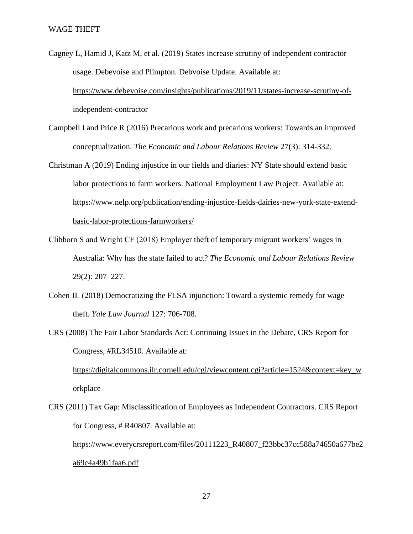- Cagney L, Hamid J, Katz M, et al. (2019) States increase scrutiny of independent contractor usage. Debevoise and Plimpton. Debvoise Update. Available at: [https://www.debevoise.com/insights/publications/2019/11/states-increase-scrutiny-of](https://www.debevoise.com/insights/publications/2019/11/states-increase-scrutiny-of-independent-contractor)[independent-contractor](https://www.debevoise.com/insights/publications/2019/11/states-increase-scrutiny-of-independent-contractor)
- Campbell I and Price R (2016) Precarious work and precarious workers: Towards an improved conceptualization. *The Economic and Labour Relations Review* 27(3): 314-332.
- Christman A (2019) Ending injustice in our fields and diaries: NY State should extend basic labor protections to farm workers. National Employment Law Project. Available at: [https://www.nelp.org/publication/ending-injustice-fields-dairies-new-york-state-extend](https://www.nelp.org/publication/ending-injustice-fields-dairies-new-york-state-extend-basic-labor-protections-farmworkers/)[basic-labor-protections-farmworkers/](https://www.nelp.org/publication/ending-injustice-fields-dairies-new-york-state-extend-basic-labor-protections-farmworkers/)
- Clibborn S and Wright CF (2018) Employer theft of temporary migrant workers' wages in Australia: Why has the state failed to act? *The Economic and Labour Relations Review* 29(2): 207–227.
- Cohen JL (2018) Democratizing the FLSA injunction: Toward a systemic remedy for wage theft. *Yale Law Journal* 127: 706-708.
- CRS (2008) The Fair Labor Standards Act: Continuing Issues in the Debate, CRS Report for Congress, #RL34510. Available at:

[https://digitalcommons.ilr.cornell.edu/cgi/viewcontent.cgi?article=1524&context=key\\_w](https://digitalcommons.ilr.cornell.edu/cgi/viewcontent.cgi?article=1524&context=key_workplace) [orkplace](https://digitalcommons.ilr.cornell.edu/cgi/viewcontent.cgi?article=1524&context=key_workplace)

CRS (2011) Tax Gap: Misclassification of Employees as Independent Contractors. CRS Report for Congress, # R40807. Available at:

[https://www.everycrsreport.com/files/20111223\\_R40807\\_f23bbc37cc588a74650a677be2](https://www.everycrsreport.com/files/20111223_R40807_f23bbc37cc588a74650a677be2a69c4a49b1faa6.pdf) [a69c4a49b1faa6.pdf](https://www.everycrsreport.com/files/20111223_R40807_f23bbc37cc588a74650a677be2a69c4a49b1faa6.pdf)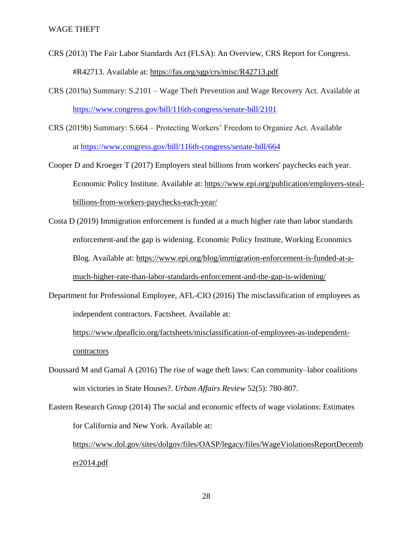- CRS (2013) The Fair Labor Standards Act (FLSA): An Overview, CRS Report for Congress. #R42713. Available at:<https://fas.org/sgp/crs/misc/R42713.pdf>
- CRS (2019a) Summary: S.2101 Wage Theft Prevention and Wage Recovery Act. Available at <https://www.congress.gov/bill/116th-congress/senate-bill/2101>
- CRS (2019b) Summary: S.664 Protecting Workers' Freedom to Organize Act. Available at <https://www.congress.gov/bill/116th-congress/senate-bill/664>
- Cooper D and Kroeger T (2017) Employers steal billions from workers' paychecks each year. Economic Policy Institute. Available at: [https://www.epi.org/publication/employers-steal](https://www.epi.org/publication/employers-steal-billions-from-workers-paychecks-each-year/)[billions-from-workers-paychecks-each-year/](https://www.epi.org/publication/employers-steal-billions-from-workers-paychecks-each-year/)
- Costa D (2019) Immigration enforcement is funded at a much higher rate than labor standards enforcement-and the gap is widening. Economic Policy Institute, Working Economics Blog. Available at: [https://www.epi.org/blog/immigration-enforcement-is-funded-at-a](https://www.epi.org/blog/immigration-enforcement-is-funded-at-a-much-higher-rate-than-labor-standards-enforcement-and-the-gap-is-widening/)[much-higher-rate-than-labor-standards-enforcement-and-the-gap-is-widening/](https://www.epi.org/blog/immigration-enforcement-is-funded-at-a-much-higher-rate-than-labor-standards-enforcement-and-the-gap-is-widening/)
- Department for Professional Employee, AFL-CIO (2016) The misclassification of employees as independent contractors. Factsheet. Available at:

[https://www.dpeaflcio.org/factsheets/misclassification-of-employees-as-independent](https://www.dpeaflcio.org/factsheets/misclassification-of-employees-as-independent-contractors)[contractors](https://www.dpeaflcio.org/factsheets/misclassification-of-employees-as-independent-contractors)

- Doussard M and Gamal A (2016) The rise of wage theft laws: Can community–labor coalitions win victories in State Houses?. *Urban Affairs Review* 52(5): 780-807.
- Eastern Research Group (2014) The social and economic effects of wage violations: Estimates for California and New York. Available at: [https://www.dol.gov/sites/dolgov/files/OASP/legacy/files/WageViolationsReportDecemb](https://www.dol.gov/sites/dolgov/files/OASP/legacy/files/WageViolationsReportDecember2014.pdf) [er2014.pdf](https://www.dol.gov/sites/dolgov/files/OASP/legacy/files/WageViolationsReportDecember2014.pdf)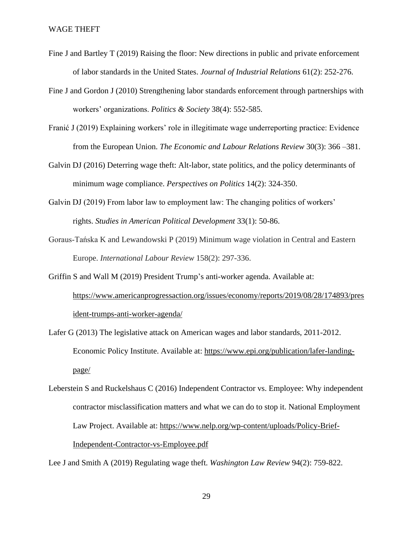- Fine J and Bartley T (2019) Raising the floor: New directions in public and private enforcement of labor standards in the United States. *Journal of Industrial Relations* 61(2): 252-276.
- Fine J and Gordon J (2010) Strengthening labor standards enforcement through partnerships with workers' organizations. *Politics & Society* 38(4): 552-585.
- Franić J (2019) Explaining workers' role in illegitimate wage underreporting practice: Evidence from the European Union. *The Economic and Labour Relations Review* 30(3): 366 –381.
- Galvin DJ (2016) Deterring wage theft: Alt-labor, state politics, and the policy determinants of minimum wage compliance. *Perspectives on Politics* 14(2): 324-350.
- Galvin DJ (2019) From labor law to employment law: The changing politics of workers' rights. *Studies in American Political Development* 33(1): 50-86.
- Goraus‐Tańska K and Lewandowski P (2019) Minimum wage violation in Central and Eastern Europe. *International Labour Review* 158(2): 297-336.
- Griffin S and Wall M (2019) President Trump's anti-worker agenda. Available at: [https://www.americanprogressaction.org/issues/economy/reports/2019/08/28/174893/pres](https://www.americanprogressaction.org/issues/economy/reports/2019/08/28/174893/president-trumps-anti-worker-agenda/) [ident-trumps-anti-worker-agenda/](https://www.americanprogressaction.org/issues/economy/reports/2019/08/28/174893/president-trumps-anti-worker-agenda/)
- Lafer G (2013) The legislative attack on American wages and labor standards, 2011-2012. Economic Policy Institute. Available at: [https://www.epi.org/publication/lafer-landing](https://www.epi.org/publication/lafer-landing-page/)[page/](https://www.epi.org/publication/lafer-landing-page/)
- Leberstein S and Ruckelshaus C (2016) Independent Contractor vs. Employee: Why independent contractor misclassification matters and what we can do to stop it. National Employment Law Project. Available at: [https://www.nelp.org/wp-content/uploads/Policy-Brief-](https://www.nelp.org/wp-content/uploads/Policy-Brief-Independent-Contractor-vs-Employee.pdf)[Independent-Contractor-vs-Employee.pdf](https://www.nelp.org/wp-content/uploads/Policy-Brief-Independent-Contractor-vs-Employee.pdf)

Lee J and Smith A (2019) Regulating wage theft. *Washington Law Review* 94(2): 759-822.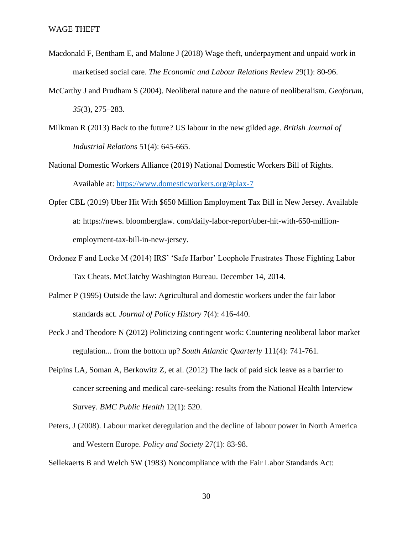- Macdonald F, Bentham E, and Malone J (2018) Wage theft, underpayment and unpaid work in marketised social care. *The Economic and Labour Relations Review* 29(1): 80-96.
- McCarthy J and Prudham S (2004). Neoliberal nature and the nature of neoliberalism. *Geoforum*, *35*(3), 275–283.
- Milkman R (2013) Back to the future? US labour in the new gilded age. *British Journal of Industrial Relations* 51(4): 645-665.
- National Domestic Workers Alliance (2019) National Domestic Workers Bill of Rights. Available at:<https://www.domesticworkers.org/#plax-7>
- Opfer CBL (2019) Uber Hit With \$650 Million Employment Tax Bill in New Jersey. Available at: https://news. bloomberglaw. com/daily-labor-report/uber-hit-with-650-millionemployment-tax-bill-in-new-jersey.
- Ordonez F and Locke M (2014) IRS' 'Safe Harbor' Loophole Frustrates Those Fighting Labor Tax Cheats. McClatchy Washington Bureau. December 14, 2014.
- Palmer P (1995) Outside the law: Agricultural and domestic workers under the fair labor standards act. *Journal of Policy History* 7(4): 416-440.
- Peck J and Theodore N (2012) Politicizing contingent work: Countering neoliberal labor market regulation... from the bottom up? *South Atlantic Quarterly* 111(4): 741-761.
- Peipins LA, Soman A, Berkowitz Z, et al. (2012) The lack of paid sick leave as a barrier to cancer screening and medical care-seeking: results from the National Health Interview Survey. *BMC Public Health* 12(1): 520.
- Peters, J (2008). Labour market deregulation and the decline of labour power in North America and Western Europe. *Policy and Society* 27(1): 83-98.

Sellekaerts B and Welch SW (1983) Noncompliance with the Fair Labor Standards Act: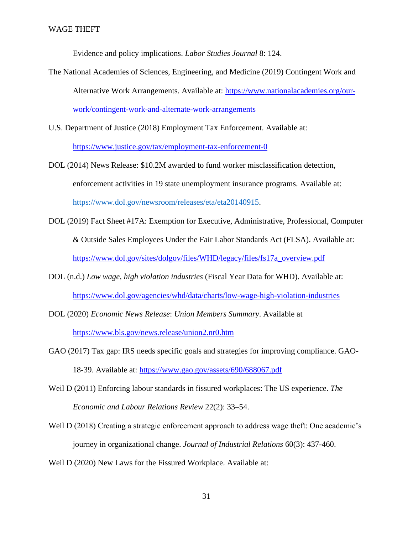Evidence and policy implications. *Labor Studies Journal* 8: 124.

- The National Academies of Sciences, Engineering, and Medicine (2019) Contingent Work and Alternative Work Arrangements. Available at: [https://www.nationalacademies.org/our](https://www.nationalacademies.org/our-work/contingent-work-and-alternate-work-arrangements)[work/contingent-work-and-alternate-work-arrangements](https://www.nationalacademies.org/our-work/contingent-work-and-alternate-work-arrangements)
- U.S. Department of Justice (2018) Employment Tax Enforcement. Available at: <https://www.justice.gov/tax/employment-tax-enforcement-0>
- DOL (2014) News Release: \$10.2M awarded to fund worker misclassification detection, enforcement activities in 19 state unemployment insurance programs. Available at: [https://www.dol.gov/newsroom/releases/eta/eta20140915.](https://www.dol.gov/newsroom/releases/eta/eta20140915)
- DOL (2019) Fact Sheet #17A: Exemption for Executive, Administrative, Professional, Computer & Outside Sales Employees Under the Fair Labor Standards Act (FLSA). Available at: [https://www.dol.gov/sites/dolgov/files/WHD/legacy/files/fs17a\\_overview.pdf](https://www.dol.gov/sites/dolgov/files/WHD/legacy/files/fs17a_overview.pdf)
- DOL (n.d.) *Low wage, high violation industries* (Fiscal Year Data for WHD). Available at: <https://www.dol.gov/agencies/whd/data/charts/low-wage-high-violation-industries>
- DOL (2020) *Economic News Release*: *Union Members Summary*. Available at <https://www.bls.gov/news.release/union2.nr0.htm>
- GAO (2017) Tax gap: IRS needs specific goals and strategies for improving compliance. GAO-18-39. Available at:<https://www.gao.gov/assets/690/688067.pdf>
- Weil D (2011) Enforcing labour standards in fissured workplaces: The US experience. *The Economic and Labour Relations Review* 22(2): 33–54.
- Weil D (2018) Creating a strategic enforcement approach to address wage theft: One academic's journey in organizational change. *Journal of Industrial Relations* 60(3): 437-460.

Weil D (2020) New Laws for the Fissured Workplace. Available at: